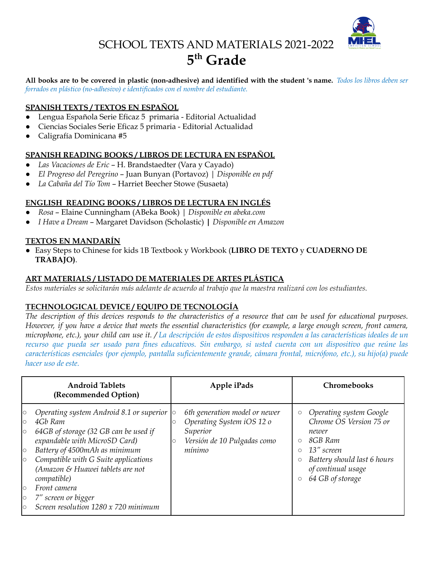

# SCHOOL TEXTS AND MATERIALS 2021-2022 **5 th Grade**

All books are to be covered in plastic (non-adhesive) and identified with the student 's name. Todos los libros deben ser *forrados en plástico (no-adhesivo) e identificados con el nombre del estudiante.*

### **SPANISH TEXTS / TEXTOS EN ESPAÑOL**

- Lengua Española Serie Eficaz 5 primaria Editorial Actualidad
- Ciencias Sociales Serie Eficaz 5 primaria Editorial Actualidad
- Caligrafía Dominicana #5

#### **SPANISH READING BOOKS / LIBROS DE LECTURA EN ESPAÑOL**

- *Las Vacaciones de Eric* H. Brandstaedter (Vara y Cayado)
- *El Progreso del Peregrino* Juan Bunyan (Portavoz) | *Disponible en pdf*
- *La Cabaña del Tío Tom* Harriet Beecher Stowe (Susaeta)

#### **ENGLISH READING BOOKS / LIBROS DE LECTURA EN INGLÉS**

- *Rosa* Elaine Cunningham (ABeka Book) | *Disponible en abeka.com*
- *I Have a Dream* Margaret Davidson (Scholastic) **|** *Disponible en Amazon*

#### **TEXTOS EN MANDARÍN**

● Easy Steps to Chinese for kids 1B Textbook y Workbook (**LIBRO DE TEXTO** y **CUADERNO DE TRABAJO)**.

#### **ART MATERIALS / LISTADO DE MATERIALES DE ARTES PLÁSTICA**

Estos materiales se solicitarán más adelante de acuerdo al trabajo que la maestra realizará con los estudiantes.

#### **TECHNOLOGICAL DEVICE / EQUIPO DE TECNOLOGÍA**

The description of this devices responds to the characteristics of a resource that can be used for educational purposes. However, if you have a device that meets the essential characteristics (for example, a large enough screen, front camera, microphone, etc.), your child can use it. / La descripción de estos dispositivos responden a las características ideales de un recurso que pueda ser usado para fines educativos. Sin embargo, si usted cuenta con un dispositivo que reúne las *características esenciales (por ejemplo, pantalla suficientemente grande, cámara frontal, micrófono, etc.), su hijo(a) puede hacer uso de este.*

| <b>Android Tablets</b><br>(Recommended Option)                                                                                                                                                                                                                                                                                                                                                                                                       | Apple iPads                                                                                                     | Chromebooks                                                                                                                                                                                                          |
|------------------------------------------------------------------------------------------------------------------------------------------------------------------------------------------------------------------------------------------------------------------------------------------------------------------------------------------------------------------------------------------------------------------------------------------------------|-----------------------------------------------------------------------------------------------------------------|----------------------------------------------------------------------------------------------------------------------------------------------------------------------------------------------------------------------|
| Operating system Android 8.1 or superior $\vert \circ \vert$<br>$\circ$<br>4Gb Ram<br>$\circ$<br>64GB of storage (32 GB can be used if<br>$\circ$<br>expandable with MicroSD Card)<br>Battery of 4500mAh as minimum<br>$\circ$<br>Compatible with G Suite applications<br>$\circ$<br>(Amazon & Huawei tablets are not<br>compatible)<br>Front camera<br>$\circ$<br>7" screen or bigger<br>$\circ$<br>Screen resolution 1280 x 720 minimum<br>$\circ$ | 6th generation model or newer<br>Operating System iOS 12 o<br>Superior<br>Versión de 10 Pulgadas como<br>mínimo | Operating system Google<br>$\circ$<br>Chrome OS Version 75 or<br>newer<br>8GB Ram<br>$\circ$<br>13" screen<br>$\circ$<br>Battery should last 6 hours<br>$\circ$<br>of continual usage<br>64 GB of storage<br>$\circ$ |